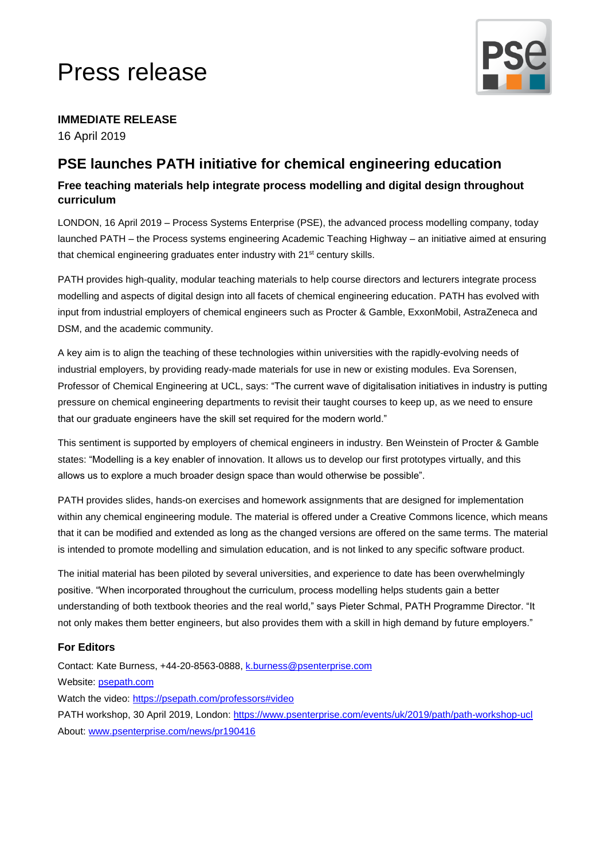# Press release



#### **IMMEDIATE RELEASE** 16 April 2019

## **PSE launches PATH initiative for chemical engineering education**

## **Free teaching materials help integrate process modelling and digital design throughout curriculum**

LONDON, 16 April 2019 – Process Systems Enterprise (PSE), the advanced process modelling company, today launched PATH – the Process systems engineering Academic Teaching Highway – an initiative aimed at ensuring that chemical engineering graduates enter industry with 21<sup>st</sup> century skills.

PATH provides high-quality, modular teaching materials to help course directors and lecturers integrate process modelling and aspects of digital design into all facets of chemical engineering education. PATH has evolved with input from industrial employers of chemical engineers such as Procter & Gamble, ExxonMobil, AstraZeneca and DSM, and the academic community.

A key aim is to align the teaching of these technologies within universities with the rapidly-evolving needs of industrial employers, by providing ready-made materials for use in new or existing modules. Eva Sorensen, Professor of Chemical Engineering at UCL, says: "The current wave of digitalisation initiatives in industry is putting pressure on chemical engineering departments to revisit their taught courses to keep up, as we need to ensure that our graduate engineers have the skill set required for the modern world."

This sentiment is supported by employers of chemical engineers in industry. Ben Weinstein of Procter & Gamble states: "Modelling is a key enabler of innovation. It allows us to develop our first prototypes virtually, and this allows us to explore a much broader design space than would otherwise be possible".

PATH provides slides, hands-on exercises and homework assignments that are designed for implementation within any chemical engineering module. The material is offered under a Creative Commons licence, which means that it can be modified and extended as long as the changed versions are offered on the same terms. The material is intended to promote modelling and simulation education, and is not linked to any specific software product.

The initial material has been piloted by several universities, and experience to date has been overwhelmingly positive. "When incorporated throughout the curriculum, process modelling helps students gain a better understanding of both textbook theories and the real world," says Pieter Schmal, PATH Programme Director. "It not only makes them better engineers, but also provides them with a skill in high demand by future employers."

### **For Editors**

Contact: Kate Burness, +44-20-8563-0888[, k.burness@psenterprise.com](mailto:k.burness@psenterprise.com) Website: [psepath.com](http://www.psepath.com/) Watch the video:<https://psepath.com/professors#video> PATH workshop, 30 April 2019, London:<https://www.psenterprise.com/events/uk/2019/path/path-workshop-ucl> About: www.psenterprise.com/news/pr190416